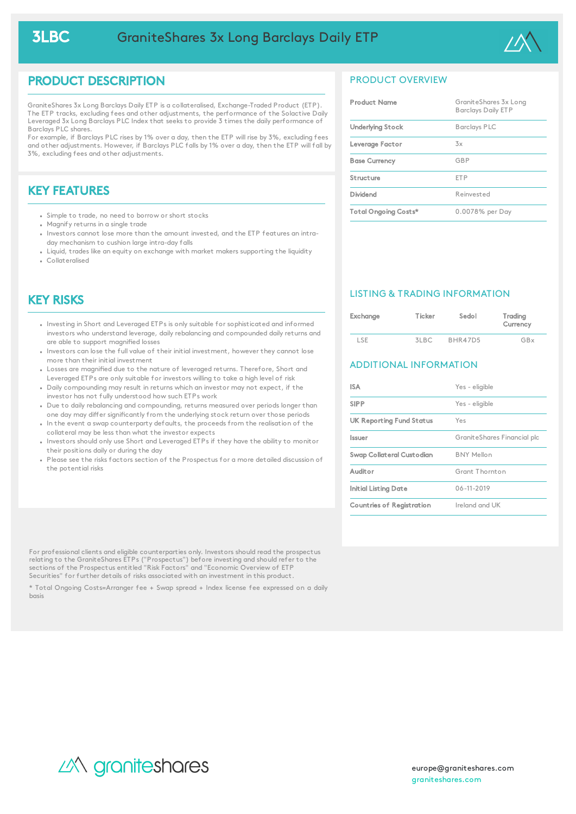

## PRODUCT DESCRIPTION

GraniteShares 3x Long Barclays Daily ETP is a collateralised, Exchange-Traded Product (ETP). The ETP tracks, excluding fees and other adjustments, the performance of the Solactive Daily Leveraged 3x Long Barclays PLC Index that seeks to provide 3 times the daily performance of Barclays PLC shares.

For example, if Barclays PLC rises by 1% over a day, then the ETP will rise by 3%, excluding fees and other adjustments. However, if Barclays PLC falls by 1% over a day, then the ETP will fall by 3%, excluding fees and other adjustments.

# KEY FEATURES

- Simple to trade, no need to borrow or short stocks
- Magnify returns in a single trade
- Investors cannot lose more than the amount invested, and the ETP features an intraday mechanism to cushion large intra-day falls
- Liquid, trades like an equity on exchange with market makers supporting the liquidity Collateralised

## KEY RISKS

- Investing in Short and Leveraged ETPs is only suitable for sophisticated and informed investors who understand leverage, daily rebalancing and compounded daily returns and are able to support magnified losses
- Investors can lose the full value of their initial investment, however they cannot lose more than their initial investment
- Losses are magnified due to the nature of leveraged returns. Therefore, Short and Leveraged ETPs are only suitable for investors willing to take a high level of risk
- Daily compounding may result in returns which an investor may not expect, if the investor has not fully understood how such ETPs work
- Due to daily rebalancing and compounding, returns measured over periods longer than one day may differ significantly from the underlying stock return over those periods
- In the event a swap counterparty defaults, the proceeds from the realisation of the collateral may be less than what the investor expects
- Investors should only use Short and Leveraged ETPs if they have the ability to monitor their positions daily or during the day
- Please see the risks factors section of the Prospectus for a more detailed discussion of the potential risks

For professional clients and eligible counterparties only. Investors should read the prospectus relating to the GraniteShares ETPs ("Prospectus") before investing and should refer to the sections of the Prospectus entitled "Risk Factors" and "Economic Overview of ETP Securities" for further details of risks associated with an investment in this product.

\* Total Ongoing Costs=Arranger fee + Swap spread + Index license fee expressed on a daily basis

### PRODUCT OVERVIEW

| <b>Product Name</b>     | GraniteShares 3x Long<br><b>Barclays Daily ETP</b> |
|-------------------------|----------------------------------------------------|
| <b>Underlying Stock</b> | <b>Barclays PLC</b>                                |
| Leverage Factor         | 3x                                                 |
| <b>Base Currency</b>    | GBP                                                |
| Structure               | <b>FTP</b>                                         |
| Dividend                | Reinvested                                         |
| Total Ongoing Costs*    | 0.0078% per Day                                    |

### LISTING & TRADING INFORMATION

| Exchange | Ticker | Sedol   | Trading<br>Currency |
|----------|--------|---------|---------------------|
| lde      |        | BHR47D5 |                     |

### ADDITIONAL INFORMATION

| <b>ISA</b>                | Yes - eligible              |  |
|---------------------------|-----------------------------|--|
| <b>SIPP</b>               | Yes - eligible              |  |
| UK Reporting Fund Status  | Yes                         |  |
| Issuer                    | GraniteShares Financial plc |  |
| Swap Collateral Custodian | <b>BNY Mellon</b>           |  |
| Auditor                   | Grant Thornton              |  |
| Initial Listing Date      | 06-11-2019                  |  |
| Countries of Registration | Ireland and UK              |  |